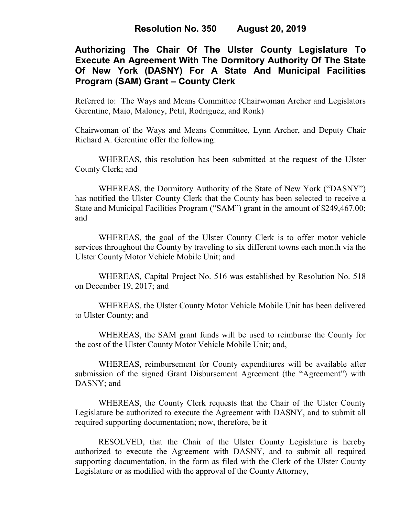# **Authorizing The Chair Of The Ulster County Legislature To Execute An Agreement With The Dormitory Authority Of The State Of New York (DASNY) For A State And Municipal Facilities Program (SAM) Grant – County Clerk**

Referred to: The Ways and Means Committee (Chairwoman Archer and Legislators Gerentine, Maio, Maloney, Petit, Rodriguez, and Ronk)

Chairwoman of the Ways and Means Committee, Lynn Archer, and Deputy Chair Richard A. Gerentine offer the following:

WHEREAS, this resolution has been submitted at the request of the Ulster County Clerk; and

WHEREAS, the Dormitory Authority of the State of New York ("DASNY") has notified the Ulster County Clerk that the County has been selected to receive a State and Municipal Facilities Program ("SAM") grant in the amount of \$249,467.00; and

WHEREAS, the goal of the Ulster County Clerk is to offer motor vehicle services throughout the County by traveling to six different towns each month via the Ulster County Motor Vehicle Mobile Unit; and

WHEREAS, Capital Project No. 516 was established by Resolution No. 518 on December 19, 2017; and

WHEREAS, the Ulster County Motor Vehicle Mobile Unit has been delivered to Ulster County; and

WHEREAS, the SAM grant funds will be used to reimburse the County for the cost of the Ulster County Motor Vehicle Mobile Unit; and,

WHEREAS, reimbursement for County expenditures will be available after submission of the signed Grant Disbursement Agreement (the "Agreement") with DASNY; and

WHEREAS, the County Clerk requests that the Chair of the Ulster County Legislature be authorized to execute the Agreement with DASNY, and to submit all required supporting documentation; now, therefore, be it

RESOLVED, that the Chair of the Ulster County Legislature is hereby authorized to execute the Agreement with DASNY, and to submit all required supporting documentation, in the form as filed with the Clerk of the Ulster County Legislature or as modified with the approval of the County Attorney,